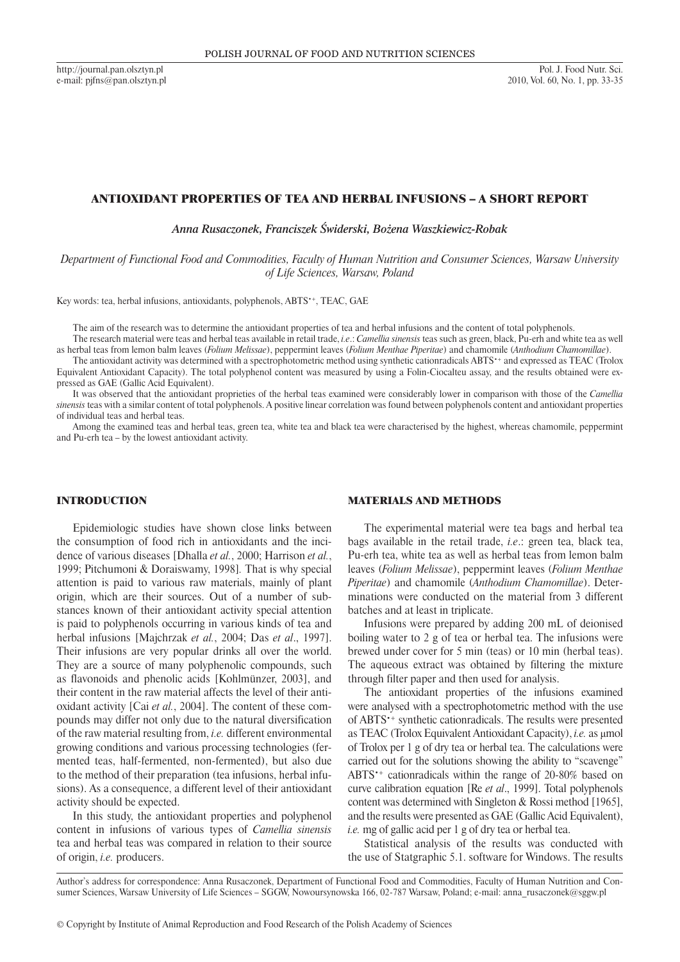http://journal.pan.olsztyn.pl e-mail: pjfns@pan.olsztyn.pl

# ANTIOXIDANT PROPERTIES OF TEA AND HERBAL INFUSIONS – A SHORT REPORT

*Anna Rusaczonek, Franciszek Świderski, Bożena Waszkiewicz-Robak*

*Department of Functional Food and Commodities, Faculty of Human Nutrition and Consumer Sciences, Warsaw University of Life Sciences, Warsaw, Poland*

Key words: tea, herbal infusions, antioxidants, polyphenols, ABTS•+, TEAC, GAE

The aim of the research was to determine the antioxidant properties of tea and herbal infusions and the content of total polyphenols. The research material were teas and herbal teas available in retail trade, *i.e*.: *Camellia sinensis* teas such as green, black, Pu-erh and white tea as well

as herbal teas from lemon balm leaves (*Folium Melissae*), peppermint leaves (*Folium Menthae Piperitae*) and chamomile (*Anthodium Chamomillae*).

The antioxidant activity was determined with a spectrophotometric method using synthetic cationradicals ABTS<sup>+</sup> and expressed as TEAC (Trolox Equivalent Antioxidant Capacity). The total polyphenol content was measured by using a Folin-Ciocalteu assay, and the results obtained were expressed as GAE (Gallic Acid Equivalent).

It was observed that the antioxidant proprieties of the herbal teas examined were considerably lower in comparison with those of the *Camellia sinensis* teas with a similar content of total polyphenols. A positive linear correlation was found between polyphenols content and antioxidant properties of individual teas and herbal teas.

Among the examined teas and herbal teas, green tea, white tea and black tea were characterised by the highest, whereas chamomile, peppermint and Pu-erh tea – by the lowest antioxidant activity.

## INTRODUCTION

Epidemiologic studies have shown close links between the consumption of food rich in antioxidants and the incidence of various diseases [Dhalla *et al.*, 2000; Harrison *et al.*, 1999; Pitchumoni & Doraiswamy, 1998]*.* That is why special attention is paid to various raw materials, mainly of plant origin, which are their sources. Out of a number of substances known of their antioxidant activity special attention is paid to polyphenols occurring in various kinds of tea and herbal infusions [Majchrzak *et al.*, 2004; Das *et al*., 1997]. Their infusions are very popular drinks all over the world. They are a source of many polyphenolic compounds, such as flavonoids and phenolic acids [Kohlmünzer, 2003], and their content in the raw material affects the level of their antioxidant activity [Cai *et al.*, 2004]. The content of these compounds may differ not only due to the natural diversification of the raw material resulting from, *i.e.* different environmental growing conditions and various processing technologies (fermented teas, half-fermented, non-fermented), but also due to the method of their preparation (tea infusions, herbal infusions). As a consequence, a different level of their antioxidant activity should be expected.

In this study, the antioxidant properties and polyphenol content in infusions of various types of *Camellia sinensis* tea and herbal teas was compared in relation to their source of origin, *i.e.* producers.

MATERIALS AND METHODS

The experimental material were tea bags and herbal tea bags available in the retail trade, *i.e*.: green tea, black tea, Pu-erh tea, white tea as well as herbal teas from lemon balm leaves (*Folium Melissae*), peppermint leaves (*Folium Menthae Piperitae*) and chamomile (*Anthodium Chamomillae*). Determinations were conducted on the material from 3 different batches and at least in triplicate.

Infusions were prepared by adding 200 mL of deionised boiling water to 2 g of tea or herbal tea. The infusions were brewed under cover for 5 min (teas) or 10 min (herbal teas). The aqueous extract was obtained by filtering the mixture through filter paper and then used for analysis.

The antioxidant properties of the infusions examined were analysed with a spectrophotometric method with the use of ABTS•+ synthetic cationradicals. The results were presented as TEAC (Trolox Equivalent Antioxidant Capacity), *i.e.* as μmol of Trolox per 1 g of dry tea or herbal tea. The calculations were carried out for the solutions showing the ability to "scavenge" ABTS•+ cationradicals within the range of 20-80% based on curve calibration equation [Re *et al*., 1999]. Total polyphenols content was determined with Singleton & Rossi method [1965], and the results were presented as GAE (Gallic Acid Equivalent), *i.e.* mg of gallic acid per 1 g of dry tea or herbal tea.

Statistical analysis of the results was conducted with the use of Statgraphic 5.1. software for Windows. The results

Author's address for correspondence: Anna Rusaczonek, Department of Functional Food and Commodities, Faculty of Human Nutrition and Consumer Sciences, Warsaw University of Life Sciences – SGGW, Nowoursynowska 166, 02-787 Warsaw, Poland; e-mail: anna\_rusaczonek@sggw.pl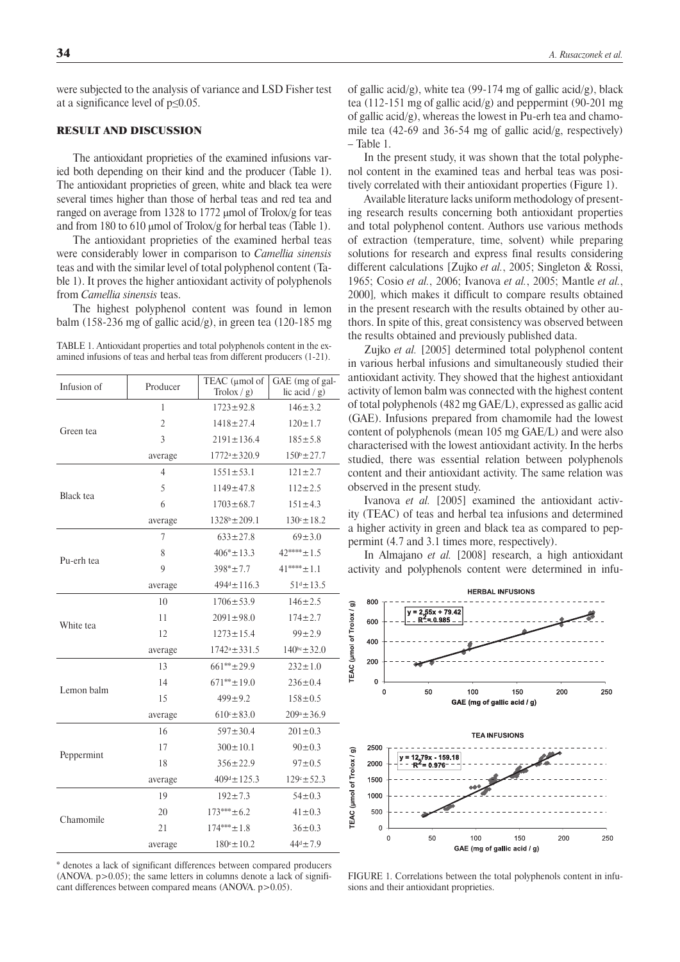were subjected to the analysis of variance and LSD Fisher test at a significance level of p≤0.05.

# RESULT AND DISCUSSION

The antioxidant proprieties of the examined infusions varied both depending on their kind and the producer (Table 1). The antioxidant proprieties of green, white and black tea were several times higher than those of herbal teas and red tea and ranged on average from 1328 to 1772 μmol of Trolox/g for teas and from 180 to 610 μmol of Trolox/g for herbal teas (Table 1).

The antioxidant proprieties of the examined herbal teas were considerably lower in comparison to *Camellia sinensis* teas and with the similar level of total polyphenol content (Table 1). It proves the higher antioxidant activity of polyphenols from *Camellia sinensis* teas.

The highest polyphenol content was found in lemon balm (158-236 mg of gallic acid/g), in green tea (120-185 mg

TABLE 1. Antioxidant properties and total polyphenols content in the examined infusions of teas and herbal teas from different producers (1-21).

| Infusion of | Producer       | TEAC ( $\mu$ mol of<br>$Trolox / g$ ) | GAE (mg of gal-<br>lic acid $/g$ ) |
|-------------|----------------|---------------------------------------|------------------------------------|
| Green tea   | 1              | $1723 \pm 92.8$                       | $146 \pm 3.2$                      |
|             | $\overline{2}$ | $1418 \pm 27.4$                       | $120 \pm 1.7$                      |
|             | 3              | $2191 \pm 136.4$                      | $185 \pm 5.8$                      |
|             | average        | $1772^a \pm 320.9$                    | $150^{\circ}$ ± 27.7               |
| Black tea   | 4              | $1551 \pm 53.1$                       | $121 \pm 2.7$                      |
|             | 5              | $1149 \pm 47.8$                       | $112 \pm 2.5$                      |
|             | 6              | $1703 \pm 68.7$                       | $151 \pm 4.3$                      |
|             | average        | $1328^b \pm 209.1$                    | $130^{\circ} \pm 18.2$             |
| Pu-erh tea  | 7              | $633 \pm 27.8$                        | $69 \pm 3.0$                       |
|             | 8              | $406* \pm 13.3$                       | $42*** \pm 1.5$                    |
|             | 9              | $398* + 7.7$                          | $41***+1.1$                        |
|             | average        | $494^d \pm 116.3$                     | $51^d \pm 13.5$                    |
| White tea   | 10             | $1706 \pm 53.9$                       | $146 \pm 2.5$                      |
|             | 11             | $2091 \pm 98.0$                       | $174 \pm 2.7$                      |
|             | 12             | $1273 \pm 15.4$                       | $99 \pm 2.9$                       |
|             | average        | $1742^a \pm 331.5$                    | $140^{bc} \pm 32.0$                |
| Lemon balm  | 13             | $661**+29.9$                          | $232 \pm 1.0$                      |
|             | 14             | $671*** \pm 19.0$                     | $236 \pm 0.4$                      |
|             | 15             | $499 \pm 9.2$                         | $158 \pm 0.5$                      |
|             | average        | $610° \pm 83.0$                       | $209^a \pm 36.9$                   |
| Peppermint  | 16             | $597 \pm 30.4$                        | $201 \pm 0.3$                      |
|             | 17             | $300 \pm 10.1$                        | $90 \pm 0.3$                       |
|             | 18             | $356 \pm 22.9$                        | $97 \pm 0.5$                       |
|             | average        | $409d \pm 125.3$                      | $129° \pm 52.3$                    |
| Chamomile   | 19             | $192 \pm 7.3$                         | $54 \pm 0.3$                       |
|             | 20             | $173***+6.2$                          | $41 \pm 0.3$                       |
|             | 21             | $174*** \pm 1.8$                      | $36 \pm 0.3$                       |
|             | average        | $180^{\circ} \pm 10.2$                | $44^d \pm 7.9$                     |

\* denotes a lack of significant differences between compared producers  $(ANOVA. p>0.05)$ ; the same letters in columns denote a lack of significant differences between compared means (ANOVA. p>0.05).

of gallic acid/g), white tea (99-174 mg of gallic acid/g), black tea (112-151 mg of gallic acid/g) and peppermint (90-201 mg of gallic acid/g), whereas the lowest in Pu-erh tea and chamomile tea (42-69 and 36-54 mg of gallic acid/g, respectively) – Table 1.

In the present study, it was shown that the total polyphenol content in the examined teas and herbal teas was positively correlated with their antioxidant properties (Figure 1).

Available literature lacks uniform methodology of presenting research results concerning both antioxidant properties and total polyphenol content. Authors use various methods of extraction (temperature, time, solvent) while preparing solutions for research and express final results considering different calculations [Zujko *et al.*, 2005; Singleton & Rossi, 1965; Cosio *et al.*, 2006; Ivanova *et al.*, 2005; Mantle *et al.*, 2000]*,* which makes it difficult to compare results obtained in the present research with the results obtained by other authors. In spite of this, great consistency was observed between the results obtained and previously published data.

Zujko *et al.* [2005] determined total polyphenol content in various herbal infusions and simultaneously studied their antioxidant activity. They showed that the highest antioxidant activity of lemon balm was connected with the highest content of total polyphenols (482 mg GAE/L), expressed as gallic acid (GAE). Infusions prepared from chamomile had the lowest content of polyphenols (mean 105 mg GAE/L) and were also characterised with the lowest antioxidant activity. In the herbs studied, there was essential relation between polyphenols content and their antioxidant activity. The same relation was observed in the present study.

Ivanova *et al.* [2005] examined the antioxidant activity (TEAC) of teas and herbal tea infusions and determined a higher activity in green and black tea as compared to peppermint (4.7 and 3.1 times more, respectively).

In Almajano *et al.* [2008] research, a high antioxidant activity and polyphenols content were determined in infu-



FIGURE 1. Correlations between the total polyphenols content in infusions and their antioxidant proprieties.